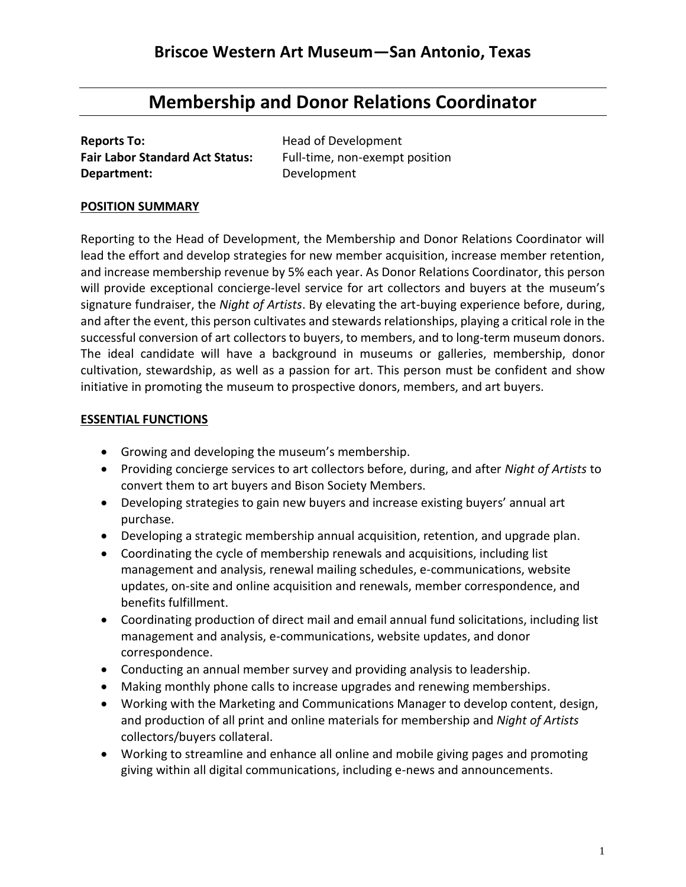# **Membership and Donor Relations Coordinator**

| <b>Reports To:</b>                     |
|----------------------------------------|
| <b>Fair Labor Standard Act Status:</b> |
| Department:                            |

**Head of Development** Full-time, non-exempt position **Department:** Development

#### **POSITION SUMMARY**

Reporting to the Head of Development, the Membership and Donor Relations Coordinator will lead the effort and develop strategies for new member acquisition, increase member retention, and increase membership revenue by 5% each year. As Donor Relations Coordinator, this person will provide exceptional concierge-level service for art collectors and buyers at the museum's signature fundraiser, the *Night of Artists*. By elevating the art*-*buying experience before, during, and after the event, this person cultivates and stewards relationships, playing a critical role in the successful conversion of art collectors to buyers, to members, and to long-term museum donors. The ideal candidate will have a background in museums or galleries, membership, donor cultivation, stewardship, as well as a passion for art. This person must be confident and show initiative in promoting the museum to prospective donors, members, and art buyers.

#### **ESSENTIAL FUNCTIONS**

- Growing and developing the museum's membership.
- Providing concierge services to art collectors before, during, and after *Night of Artists* to convert them to art buyers and Bison Society Members.
- Developing strategies to gain new buyers and increase existing buyers' annual art purchase.
- Developing a strategic membership annual acquisition, retention, and upgrade plan.
- Coordinating the cycle of membership renewals and acquisitions, including list management and analysis, renewal mailing schedules, e-communications, website updates, on-site and online acquisition and renewals, member correspondence, and benefits fulfillment.
- Coordinating production of direct mail and email annual fund solicitations, including list management and analysis, e-communications, website updates, and donor correspondence.
- Conducting an annual member survey and providing analysis to leadership.
- Making monthly phone calls to increase upgrades and renewing memberships.
- Working with the Marketing and Communications Manager to develop content, design, and production of all print and online materials for membership and *Night of Artists* collectors/buyers collateral.
- Working to streamline and enhance all online and mobile giving pages and promoting giving within all digital communications, including e-news and announcements.